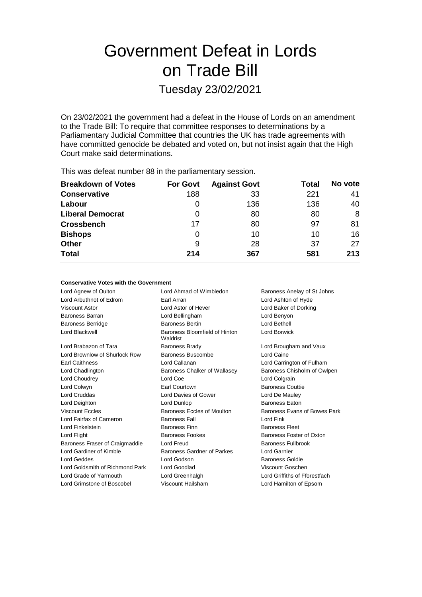# Government Defeat in Lords on Trade Bill

Tuesday 23/02/2021

On 23/02/2021 the government had a defeat in the House of Lords on an amendment to the Trade Bill: To require that committee responses to determinations by a Parliamentary Judicial Committee that countries the UK has trade agreements with have committed genocide be debated and voted on, but not insist again that the High Court make said determinations.

| <b>THIS WAS ACTUALTIQUIDED OF ILL LIC PATILATION CONSIDIT.</b> |                 |                     |       |         |
|----------------------------------------------------------------|-----------------|---------------------|-------|---------|
| <b>Breakdown of Votes</b>                                      | <b>For Govt</b> | <b>Against Govt</b> | Total | No vote |
| <b>Conservative</b>                                            | 188             | 33                  | 221   | 41      |
| Labour                                                         | 0               | 136                 | 136   | 40      |
| <b>Liberal Democrat</b>                                        | 0               | 80                  | 80    | 8       |
| <b>Crossbench</b>                                              | 17              | 80                  | 97    | 81      |
| <b>Bishops</b>                                                 | Ω               | 10                  | 10    | 16      |
| <b>Other</b>                                                   | 9               | 28                  | 37    | 27      |
| <b>Total</b>                                                   | 214             | 367                 | 581   | 213     |
|                                                                |                 |                     |       |         |

This was defeat number 88 in the parliamentary session.

### **Conservative Votes with the Government**

Lord Agnew of Oulton **Lord Ahmad of Wimbledon** Baroness Anelay of St Johns Lord Arbuthnot of Edrom Earl Arran Lord Ashton of Hyde Viscount Astor Lord Astor of Hever Lord Baker of Dorking Baroness Barran Lord Bellingham Lord Benyon Baroness Berridge Baroness Bertin Lord Bethell Lord Blackwell **Baroness** Bloomfield of Hinton Waldrist Lord Borwick Lord Brabazon of Tara **Baroness Brady Lord Brougham and Vaux** Lord Brownlow of Shurlock Row Baroness Buscombe Lord Caine Earl Caithness Lord Callanan Lord Carrington of Fulham Lord Chadlington **Baroness Chalker of Wallasey** Baroness Chisholm of Owlpen Lord Choudrey Lord Coe Lord Colgrain Lord Colwyn Earl Courtown Baroness Couttie Lord Cruddas Lord Davies of Gower Lord De Mauley Lord Deighton **Contact Contact Lord Dunlop** Baroness Eaton Viscount Eccles **Baroness Eccles of Moulton** Baroness Evans of Bowes Park Lord Fairfax of Cameron **Baroness Fall** Lord Fink Lord Finkelstein **Baroness Finn** Baroness Finn Baroness Fleet Lord Flight **Baroness Fookes** Baroness Fookes Baroness Foster of Oxton Baroness Fraser of Craigmaddie Lord Freud **Baroness Fullbrook** Lord Gardiner of Kimble Baroness Gardner of Parkes Lord Garnier Lord Geddes Lord Godson Baroness Goldie Lord Goldsmith of Richmond Park Lord Goodlad Viscount Goschen Lord Grade of Yarmouth Lord Greenhalgh Lord Griffiths of Fforestfach Lord Grimstone of Boscobel Viscount Hailsham Lord Hamilton of Epsom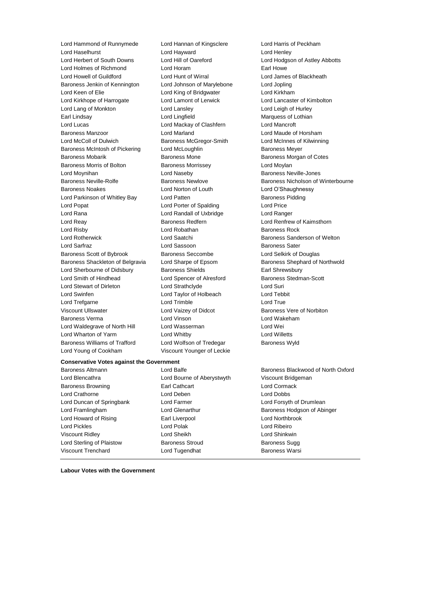Lord Hammond of Runnymede Lord Hannan of Kingsclere Lord Harris of Peckham Lord Haselhurst Lord Hayward Lord Henley Lord Holmes of Richmond Lord Horam Earl Howe Lord Howell of Guildford Lord Hunt of Wirral Lord James of Blackheath Baroness Jenkin of Kennington Lord Johnson of Marylebone Lord Jopling Lord Keen of Elie Lord King of Bridgwater Lord Kirkham Lord Kirkhope of Harrogate Lord Lamont of Lerwick Lord Lancaster of Kimbolton Lord Lang of Monkton Lord Lansley Lord Leigh of Hurley Earl Lindsay Lord Lingfield Marquess of Lothian Lord Lucas Lord Mackay of Clashfern Lord Mancroft Baroness Manzoor Lord Marland Lord Maude of Horsham Lord McColl of Dulwich Baroness McGregor-Smith Lord McInnes of Kilwinning Baroness McIntosh of Pickering Lord McLoughlin Baroness Meyer Baroness Mobarik **Baroness Mone Baroness Mone** Baroness Morgan of Cotes Baroness Morris of Bolton **Baroness Morrissey Lord Moylan** Lord Moynihan **Lord Naseby Baroness Neville-Jones** Lord Naseby **Baroness Neville-Jones** Baroness Noakes Lord Norton of Louth Lord O'Shaughnessy Lord Parkinson of Whitley Bay Lord Patten **Baroness Pidding** Baroness Pidding Lord Popat Lord Porter of Spalding Lord Price Lord Rana Lord Randall of Uxbridge Lord Ranger Lord Reay Baroness Redfern Lord Renfrew of Kaimsthorn Lord Risby **Lord Robathan** Baroness Rock Lord Rotherwick Lord Saatchi Baroness Sanderson of Welton **Lord Sarfraz Lord Sassoon** Baroness Sater Baroness Scott of Bybrook Baroness Seccombe Lord Selkirk of Douglas Baroness Shackleton of Belgravia Lord Sharpe of Epsom Baroness Shephard of Northwold Lord Sherbourne of Didsbury Baroness Shields Earl Shrewsbury Lord Smith of Hindhead Lord Spencer of Alresford Baroness Stedman-Scott Lord Stewart of Dirleton Lord Strathclyde Lord Suri Lord Swinfen Lord Taylor of Holbeach Lord Tebbit Lord Trefgarne **Lord Trimble** Lord Trimble **Lord True** Viscount Ullswater Lord Vaizey of Didcot Baroness Vere of Norbiton Baroness Verma Lord Vinson Lord Wakeham Lord Waldegrave of North Hill Lord Wasserman Lord Wei Lord Wharton of Yarm Lord Whitby Lord Willetts Baroness Williams of Trafford Lord Wolfson of Tredegar Baroness Wyld Lord Young of Cookham Viscount Younger of Leckie

### **Conservative Votes against the Government**

Lord Blencathra Lord Bourne of Aberystwyth Viscount Bridgeman Baroness Browning **Earl Cathcart** Earl Cathcart **Lord Cormack** Lord Crathorne Lord Deben Lord Dobbs Lord Duncan of Springbank Lord Farmer Lord Forsyth of Drumlean Lord Howard of Rising **Earl Liverpool** Earl Liverpool **Lord Northbrook** Lord Pickles Lord Polak Lord Ribeiro Viscount Ridley Lord Sheikh Lord Shinkwin Lord Sterling of Plaistow **Baroness Stroud** Baroness Sugg

Viscount Trenchard **Communist Conditions** Lord Tugendhat **Baroness Warsi** 

Lord Hodgson of Astley Abbotts Baroness Neville-Rolfe **Baroness Newlove** Baroness Newlove Baroness Nicholson of Winterbourne

Baroness Altmann **Baroness Blackwood of North Oxford** Lord Balfe **Baroness Blackwood of North Oxford** Lord Framlingham **Lord Glenarthur** Baroness Hodgson of Abinger

**Labour Votes with the Government**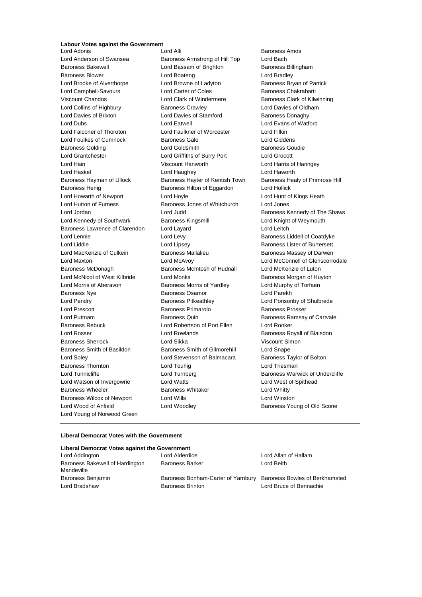### **Labour Votes against the Government**

Lord Anderson of Swansea **Baroness Armstrong of Hill Top** Lord Bach Baroness Bakewell **Exercise School** Lord Bassam of Brighton **Baroness Billingham** Baroness Blower Lord Boateng Lord Bradley Lord Brooke of Alverthorpe Lord Browne of Ladyton Baroness Bryan of Partick Lord Campbell-Savours **Lord Carter of Coles** Baroness Chakrabarti Viscount Chandos Lord Clark of Windermere Baroness Clark of Kilwinning Lord Collins of Highbury Baroness Crawley Lord Davies of Oldham Lord Davies of Brixton **Lord Davies of Stamford** Baroness Donaghy Lord Dubs Lord Eatwell Lord Evans of Watford Lord Falconer of Thoroton Lord Faulkner of Worcester Lord Filkin Lord Foulkes of Cumnock Baroness Gale Lord Giddens Baroness Golding Lord Goldsmith Baroness Goudie Lord Grantchester Lord Griffiths of Burry Port Lord Grocott Lord Hain Viscount Hanworth Lord Harris of Haringey Lord Haskel Lord Haughey Lord Haworth Baroness Hayman of Ullock Baroness Hayter of Kentish Town Baroness Healy of Primrose Hill Baroness Henig Baroness Hilton of Eggardon Lord Hollick Lord Howarth of Newport Lord Hoyle Lord Hunt of Kings Heath Lord Hutton of Furness Baroness Jones of Whitchurch Lord Jones Lord Jordan Lord Judd Baroness Kennedy of The Shaws Lord Kennedy of Southwark **Baroness Kingsmill Lord Knight of Weymouth** Baroness Lawrence of Clarendon Lord Layard **Lord Leitch** Lord Leitch Lord Lennie **Lord Levy Lord Levy Baroness Liddell of Coatdyke** Lord Liddle **Lord Lipsey** Lord Lipsey **Baroness Lister of Burtersett** Lord MacKenzie of Culkein **Baroness Mallalieu** Baroness Massey of Darwen Lord Maxton Lord McAvoy Lord McConnell of Glenscorrodale Baroness McDonagh Baroness McIntosh of Hudnall Lord McKenzie of Luton Lord McNicol of West Kilbride Lord Monks Baroness Morgan of Huyton Lord Morris of Aberavon Baroness Morris of Yardley Lord Murphy of Torfaen Baroness Nye Baroness Osamor Lord Parekh Lord Pendry **Baroness Pitkeathley Baroness Pitkeathley Lord Ponsonby of Shulbrede** Lord Prescott **Baroness Primarolo** Baroness Prosser Lord Puttnam Baroness Quin Baroness Ramsay of Cartvale Baroness Rebuck Lord Robertson of Port Ellen Lord Rooker Lord Rosser Lord Rowlands Baroness Royall of Blaisdon Baroness Sherlock Lord Sikka Viscount Simon Baroness Smith of Basildon Baroness Smith of Gilmorehill Lord Snape Lord Soley **Lord Stevenson of Balmacara** Baroness Taylor of Bolton Baroness Thornton **Lord Touhig Lord Triesman** Lord Triesman Lord Tunnicliffe **Lord Turnberg** Lord Turnberg **Baroness Warwick of Undercliffe** Lord Watson of Invergowrie Lord Watts Lord West of Spithead Baroness Wheeler **Baroness Whitaker** Lord Whitty Baroness Wilcox of Newport Lord Wills Lord Winston Lord Wood of Anfield **Lord Woodley Lord Woodley Baroness Young of Old Scone** Lord Young of Norwood Green

Lord Adonis Lord Alli Baroness Amos

### **Liberal Democrat Votes with the Government**

### **Liberal Democrat Votes against the Government**

| Lord Addington                                | Lord Alderdice                                                    | Lord Allan of Hallam    |
|-----------------------------------------------|-------------------------------------------------------------------|-------------------------|
| Baroness Bakewell of Hardington<br>Mandeville | <b>Baroness Barker</b>                                            | Lord Beith              |
| Baroness Benjamin                             | Baroness Bonham-Carter of Yarnbury Baroness Bowles of Berkhamsted |                         |
| Lord Bradshaw                                 | <b>Baroness Brinton</b>                                           | Lord Bruce of Bennachie |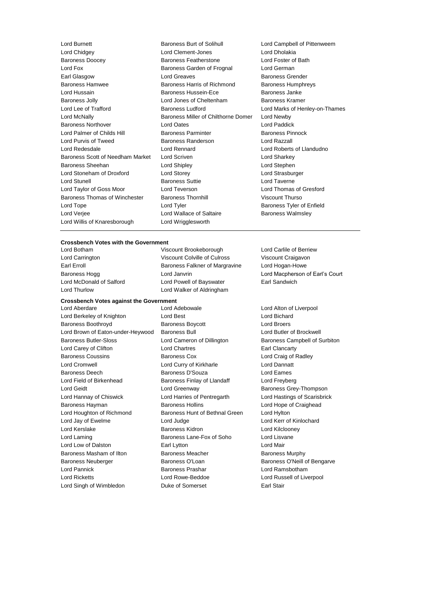Lord Chidgey Lord Clement-Jones Lord Dholakia Baroness Doocey **Baroness Featherstone** Lord Fox Baroness Garden of Frognal Lord German Earl Glasgow **Lord Greaves** Baroness Grender Baroness Hamwee **Baroness Harris of Richmond** Baroness Humphreys Lord Hussain Baroness Hussein-Ece Baroness Janke Baroness Jolly Lord Jones of Cheltenham Baroness Kramer Lord Lee of Trafford Baroness Ludford Lord Marks of Henley-on-Thames Lord McNally Baroness Miller of Chilthorne Domer Lord Newby Baroness Northover Lord Oates Lord Paddick Lord Palmer of Childs Hill **Baroness Parminter** Baroness Pinnock Lord Purvis of Tweed Baroness Randerson Lord Razzall Lord Redesdale Lord Rennard Lord Roberts of Llandudno Baroness Scott of Needham Market Lord Scriven Lord Charley Lord Sharkey Baroness Sheehan Lord Shipley Lord Stephen Lord Stoneham of Droxford Lord Storey Lord Strasburger Lord Stunell **Baroness Suttie Lord Taverne** Lord Taylor of Goss Moor Lord Teverson Lord Thomas of Gresford Baroness Thomas of Winchester Baroness Thornhill Viscount Thurso Lord Tope **Lord Tyler** Communication Communication Communication Communication Communication Communication Communication Communication Communication Communication Communication Communication Communication Communication Com Lord Verjee **Lord Wallace of Saltaire** Baroness Walmsley Lord Willis of Knaresborough Lord Wrigglesworth

Lord Burnett **Baroness Burt of Solihull** Lord Campbell of Pittenweem

## **Crossbench Votes with the Government**

Lord Botham Viscount Brookeborough Lord Carlile of Berriew Lord Thurlow Lord Walker of Aldringham

### **Crossbench Votes against the Government**

Lord Berkeley of Knighton Lord Best Lord Bichard Baroness Boothroyd Baroness Boycott Lord Broers Lord Brown of Eaton-under-Heywood Baroness Bull **Lord Butler Conditional Butler of Brockwell** Baroness Butler-Sloss Lord Cameron of Dillington Baroness Campbell of Surbiton Lord Carey of Clifton Lord Chartres Earl Clancarty Baroness Coussins Baroness Cox Lord Craig of Radley Lord Cromwell Lord Curry of Kirkharle Lord Dannatt Baroness Deech Baroness D'Souza Lord Eames Lord Field of Birkenhead **Baroness Finlay of Llandaff** Lord Freyberg Lord Geidt **Lord Greenway Lord Greenway Baroness Grey-Thompson** Lord Hannay of Chiswick Lord Harries of Pentregarth Lord Hastings of Scarisbrick Baroness Hayman **Baroness Hollins** Baroness Hollins **Lord Hope of Craighead** Lord Houghton of Richmond Baroness Hunt of Bethnal Green Lord Hylton Lord Jay of Ewelme **Lord Lord Judge Lord Access** Lord Cord Kerr of Kinlochard Lord Kerslake **Baroness Kidron** Baroness Kidron Lord Kilclooney Lord Laming **Example 2** Baroness Lane-Fox of Soho Lord Lisvane Lord Low of Dalston **Earl Lytton** Earl Lytton **Earl Lytton** Lord Mair Baroness Masham of Ilton **Baroness Meacher** Baroness Murphy Baroness Neuberger **Baroness O'Loan** Baroness O'Loan Baroness O'Neill of Bengarve Lord Pannick Baroness Prashar Lord Ramsbotham Lord Ricketts Lord Rowe-Beddoe Lord Russell of Liverpool Lord Singh of Wimbledon **Duke of Somerset** Earl Stair

Lord Carrington Viscount Colville of Culross Viscount Craigavon Earl Erroll **Example 2** Earl Erroll Baroness Falkner of Margravine Lord Hogan-Howe Lord McDonald of Salford **Lord Powell of Bayswater** Earl Sandwich

Lord Aberdare Lord Adebowale Lord Alton of Liverpool

Baroness Hogg Lord Janvrin Lord Macpherson of Earl's Court